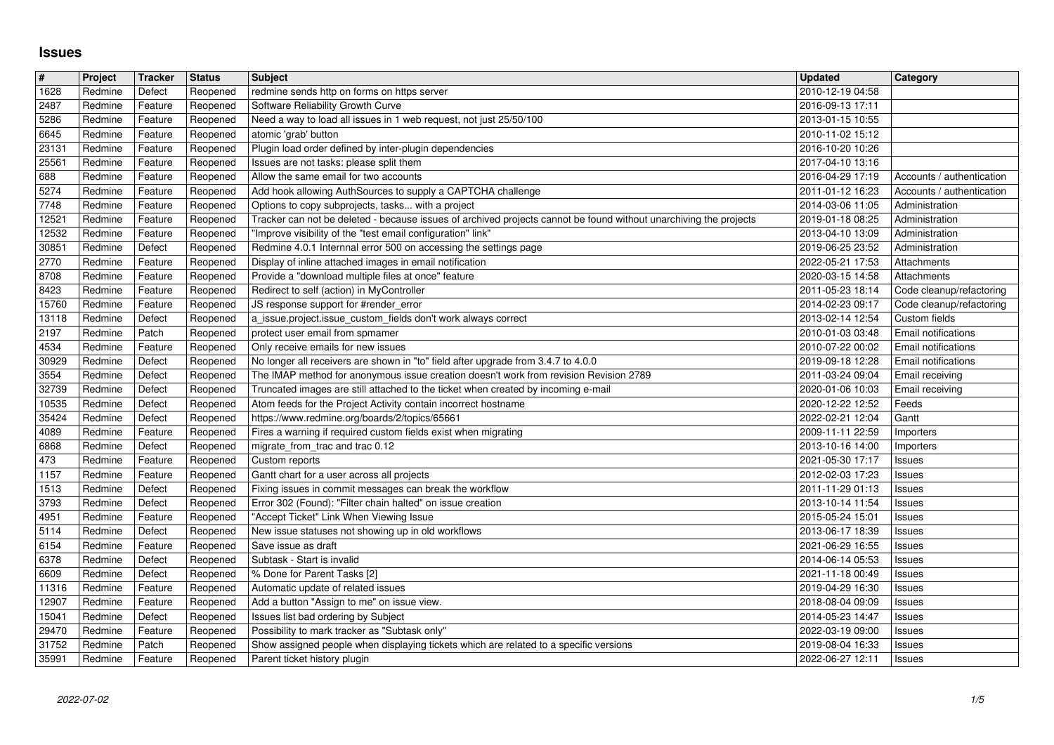## **Issues**

| $\#$           | Project            | Tracker            | <b>Status</b>        | <b>Subject</b>                                                                                                                                      | <b>Updated</b>                       | Category                                               |
|----------------|--------------------|--------------------|----------------------|-----------------------------------------------------------------------------------------------------------------------------------------------------|--------------------------------------|--------------------------------------------------------|
| 1628           | Redmine            | Defect             | Reopened             | redmine sends http on forms on https server                                                                                                         | 2010-12-19 04:58                     |                                                        |
| 2487<br>5286   | Redmine<br>Redmine | Feature<br>Feature | Reopened<br>Reopened | Software Reliability Growth Curve<br>Need a way to load all issues in 1 web request, not just 25/50/100                                             | 2016-09-13 17:11<br>2013-01-15 10:55 |                                                        |
| 6645           | Redmine            | Feature            | Reopened             | atomic 'grab' button                                                                                                                                | 2010-11-02 15:12                     |                                                        |
| 23131          | Redmine            | Feature            | Reopened             | Plugin load order defined by inter-plugin dependencies                                                                                              | 2016-10-20 10:26                     |                                                        |
| 25561          | Redmine            | Feature            | Reopened             | Issues are not tasks: please split them                                                                                                             | 2017-04-10 13:16                     |                                                        |
| 688<br>5274    | Redmine<br>Redmine | Feature<br>Feature | Reopened<br>Reopened | Allow the same email for two accounts<br>Add hook allowing AuthSources to supply a CAPTCHA challenge                                                | 2016-04-29 17:19<br>2011-01-12 16:23 | Accounts / authentication<br>Accounts / authentication |
| 7748           | Redmine            | Feature            | Reopened             | Options to copy subprojects, tasks with a project                                                                                                   | 2014-03-06 11:05                     | Administration                                         |
| 12521          | Redmine            | Feature            | Reopened             | Tracker can not be deleted - because issues of archived projects cannot be found without unarchiving the projects                                   | 2019-01-18 08:25                     | Administration                                         |
| 12532          | Redmine            | Feature            | Reopened             | "Improve visibility of the "test email configuration" link"                                                                                         | 2013-04-10 13:09                     | Administration                                         |
| 30851<br>2770  | Redmine<br>Redmine | Defect<br>Feature  | Reopened<br>Reopened | Redmine 4.0.1 Internnal error 500 on accessing the settings page<br>Display of inline attached images in email notification                         | 2019-06-25 23:52<br>2022-05-21 17:53 | Administration<br>Attachments                          |
| 8708           | Redmine            | Feature            | Reopened             | Provide a "download multiple files at once" feature                                                                                                 | 2020-03-15 14:58                     | Attachments                                            |
| 8423           | Redmine            | Feature            | Reopened             | Redirect to self (action) in MyController                                                                                                           | 2011-05-23 18:14                     | Code cleanup/refactoring                               |
| 15760          | Redmine            | Feature            | Reopened             | JS response support for #render_error                                                                                                               | 2014-02-23 09:17                     | Code cleanup/refactoring                               |
| 13118<br>2197  | Redmine<br>Redmine | Defect<br>Patch    | Reopened<br>Reopened | a_issue.project.issue_custom_fields don't work always correct<br>protect user email from spmamer                                                    | 2013-02-14 12:54<br>2010-01-03 03:48 | Custom fields<br><b>Email notifications</b>            |
| 4534           | Redmine            | Feature            | Reopened             | Only receive emails for new issues                                                                                                                  | 2010-07-22 00:02                     | <b>Email notifications</b>                             |
| 30929          | Redmine            | Defect             | Reopened             | No longer all receivers are shown in "to" field after upgrade from 3.4.7 to 4.0.0                                                                   | 2019-09-18 12:28                     | <b>Email notifications</b>                             |
| 3554           | Redmine            | Defect             | Reopened             | The IMAP method for anonymous issue creation doesn't work from revision Revision 2789                                                               | 2011-03-24 09:04                     | Email receiving                                        |
| 32739<br>10535 | Redmine<br>Redmine | Defect<br>Defect   | Reopened<br>Reopened | Truncated images are still attached to the ticket when created by incoming e-mail<br>Atom feeds for the Project Activity contain incorrect hostname | 2020-01-06 10:03<br>2020-12-22 12:52 | Email receiving<br>Feeds                               |
| 35424          | Redmine            | Defect             | Reopened             | https://www.redmine.org/boards/2/topics/65661                                                                                                       | 2022-02-21 12:04                     | Gantt                                                  |
| 4089           | Redmine            | Feature            | Reopened             | Fires a warning if required custom fields exist when migrating                                                                                      | 2009-11-11 22:59                     | Importers                                              |
| 6868           | Redmine            | Defect             | Reopened             | migrate_from_trac and trac 0.12                                                                                                                     | 2013-10-16 14:00                     | Importers                                              |
| 473<br>1157    | Redmine<br>Redmine | Feature<br>Feature | Reopened<br>Reopened | Custom reports<br>Gantt chart for a user across all projects                                                                                        | 2021-05-30 17:17<br>2012-02-03 17:23 | <b>Issues</b><br><b>Issues</b>                         |
| 1513           | Redmine            | Defect             | Reopened             | Fixing issues in commit messages can break the workflow                                                                                             | 2011-11-29 01:13                     | <b>Issues</b>                                          |
| 3793           | Redmine            | Defect             | Reopened             | Error 302 (Found): "Filter chain halted" on issue creation                                                                                          | 2013-10-14 11:54                     | <b>Issues</b>                                          |
| 4951           | Redmine            | Feature            | Reopened             | "Accept Ticket" Link When Viewing Issue                                                                                                             | 2015-05-24 15:01                     | <b>Issues</b>                                          |
| 5114<br>6154   | Redmine<br>Redmine | Defect<br>Feature  | Reopened<br>Reopened | New issue statuses not showing up in old workflows<br>Save issue as draft                                                                           | 2013-06-17 18:39<br>2021-06-29 16:55 | Issues<br><b>Issues</b>                                |
| 6378           | Redmine            | Defect             | Reopened             | Subtask - Start is invalid                                                                                                                          | 2014-06-14 05:53                     | <b>Issues</b>                                          |
| 6609           | Redmine            | Defect             | Reopened             | % Done for Parent Tasks [2]                                                                                                                         | 2021-11-18 00:49                     | <b>Issues</b>                                          |
| 11316          | Redmine            | Feature            | Reopened             | Automatic update of related issues                                                                                                                  | 2019-04-29 16:30                     | <b>Issues</b>                                          |
| 12907<br>15041 | Redmine<br>Redmine | Feature<br>Defect  | Reopened<br>Reopened | Add a button "Assign to me" on issue view.<br>Issues list bad ordering by Subject                                                                   | 2018-08-04 09:09<br>2014-05-23 14:47 | <b>Issues</b><br>Issues                                |
| 29470          | Redmine            | Feature            |                      | Reopened   Possibility to mark tracker as "Subtask only"                                                                                            | 2022-03-19 09:00                     | <b>Issues</b>                                          |
| 31752<br>35991 | Redmine<br>Redmine | Patch<br>Feature   | Reopened<br>Reopened | Show assigned people when displaying tickets which are related to a specific versions<br>Parent ticket history plugin                               | 2019-08-04 16:33<br>2022-06-27 12:11 | <b>Issues</b>                                          |
|                |                    |                    |                      |                                                                                                                                                     |                                      |                                                        |
|                |                    |                    |                      |                                                                                                                                                     |                                      |                                                        |
|                |                    |                    |                      |                                                                                                                                                     |                                      |                                                        |
|                |                    |                    |                      |                                                                                                                                                     |                                      |                                                        |
|                |                    |                    |                      |                                                                                                                                                     |                                      |                                                        |
|                |                    |                    |                      |                                                                                                                                                     |                                      |                                                        |
|                |                    |                    |                      |                                                                                                                                                     |                                      |                                                        |
|                |                    |                    |                      |                                                                                                                                                     |                                      |                                                        |
|                |                    |                    |                      |                                                                                                                                                     |                                      |                                                        |
|                |                    |                    |                      |                                                                                                                                                     |                                      |                                                        |
|                |                    |                    |                      |                                                                                                                                                     |                                      |                                                        |
|                |                    |                    |                      |                                                                                                                                                     |                                      |                                                        |
|                |                    |                    |                      |                                                                                                                                                     |                                      |                                                        |
|                |                    |                    |                      |                                                                                                                                                     |                                      |                                                        |
|                |                    |                    |                      |                                                                                                                                                     |                                      |                                                        |
|                |                    |                    |                      |                                                                                                                                                     |                                      |                                                        |
|                |                    |                    |                      |                                                                                                                                                     |                                      |                                                        |
|                |                    |                    |                      |                                                                                                                                                     |                                      |                                                        |
|                |                    |                    |                      |                                                                                                                                                     |                                      |                                                        |
|                |                    |                    |                      |                                                                                                                                                     |                                      |                                                        |
|                |                    |                    |                      |                                                                                                                                                     |                                      |                                                        |
|                |                    |                    |                      |                                                                                                                                                     |                                      |                                                        |
|                |                    |                    |                      |                                                                                                                                                     |                                      |                                                        |
|                |                    |                    |                      |                                                                                                                                                     |                                      |                                                        |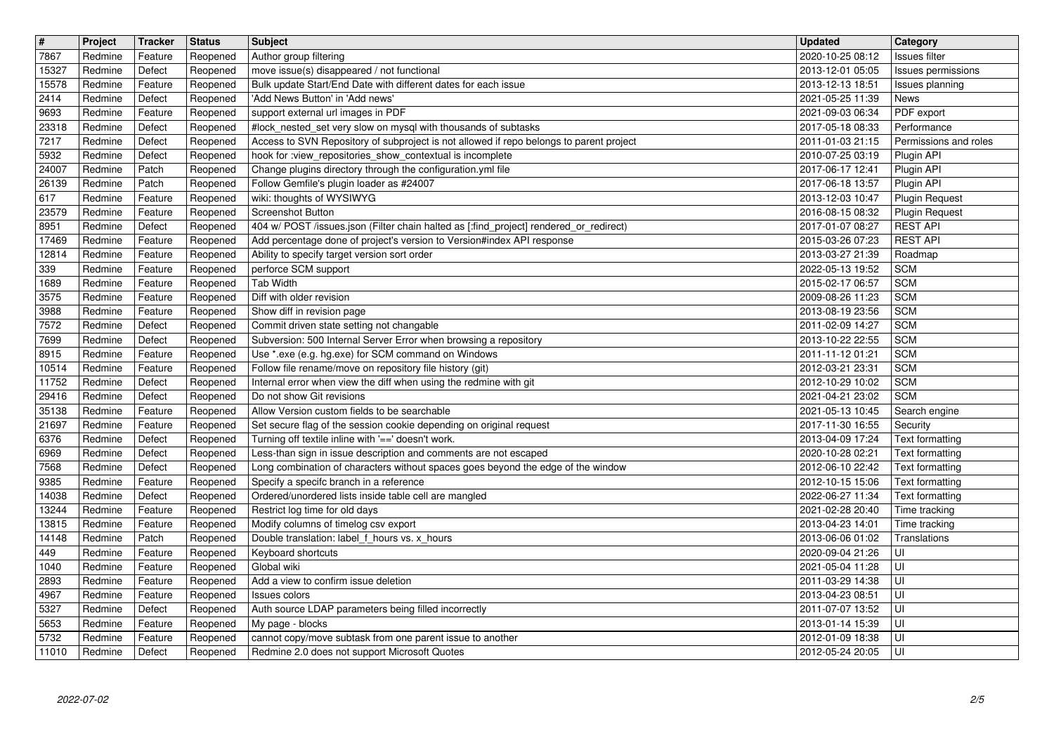| $\overline{\mathbf{H}}$ | Project            | Tracker            | <b>Status</b>        | <b>Subject</b>                                                                                                                                       | <b>Updated</b>                       | Category                                 |
|-------------------------|--------------------|--------------------|----------------------|------------------------------------------------------------------------------------------------------------------------------------------------------|--------------------------------------|------------------------------------------|
| 7867                    | Redmine            | Feature            | Reopened             | Author group filtering                                                                                                                               | 2020-10-25 08:12                     | Issues filter                            |
| 15327<br>15578          | Redmine<br>Redmine | Defect<br>Feature  | Reopened<br>Reopened | move issue(s) disappeared / not functional<br>Bulk update Start/End Date with different dates for each issue                                         | 2013-12-01 05:05<br>2013-12-13 18:51 | Issues permissions<br>Issues planning    |
| 2414                    | Redmine            | Defect             | Reopened             | 'Add News Button' in 'Add news'                                                                                                                      | 2021-05-25 11:39                     | <b>News</b>                              |
| 9693                    | Redmine            | Feature            | Reopened             | support external url images in PDF                                                                                                                   | 2021-09-03 06:34                     | PDF export                               |
| 23318                   | Redmine            | Defect             | Reopened             | #lock_nested_set very slow on mysql with thousands of subtasks                                                                                       | 2017-05-18 08:33                     | Performance                              |
| 7217<br>5932            | Redmine<br>Redmine | Defect<br>Defect   | Reopened<br>Reopened | Access to SVN Repository of subproject is not allowed if repo belongs to parent project<br>hook for :view_repositories_show_contextual is incomplete | 2011-01-03 21:15<br>2010-07-25 03:19 | Permissions and roles<br>Plugin API      |
| 24007                   | Redmine            | Patch              | Reopened             | Change plugins directory through the configuration.yml file                                                                                          | 2017-06-17 12:41                     | Plugin API                               |
| 26139                   | Redmine            | Patch              | Reopened             | Follow Gemfile's plugin loader as #24007                                                                                                             | 2017-06-18 13:57                     | Plugin API                               |
| 617                     | Redmine            | Feature            | Reopened             | wiki: thoughts of WYSIWYG                                                                                                                            | 2013-12-03 10:47                     | <b>Plugin Request</b>                    |
| 23579<br>8951           | Redmine<br>Redmine | Feature<br>Defect  | Reopened<br>Reopened | Screenshot Button<br>404 w/ POST /issues.json (Filter chain halted as [:find_project] rendered_or_redirect)                                          | 2016-08-15 08:32<br>2017-01-07 08:27 | <b>Plugin Request</b><br><b>REST API</b> |
| 17469                   | Redmine            | Feature            | Reopened             | Add percentage done of project's version to Version#index API response                                                                               | 2015-03-26 07:23                     | <b>REST API</b>                          |
| 12814                   | Redmine            | Feature            | Reopened             | Ability to specify target version sort order                                                                                                         | 2013-03-27 21:39                     | Roadmap                                  |
| 339                     | Redmine<br>Redmine | Feature            | Reopened             | perforce SCM support<br>Tab Width                                                                                                                    | 2022-05-13 19:52                     | <b>SCM</b><br><b>SCM</b>                 |
| 1689<br>3575            | Redmine            | Feature<br>Feature | Reopened<br>Reopened | Diff with older revision                                                                                                                             | 2015-02-17 06:57<br>2009-08-26 11:23 | <b>SCM</b>                               |
| 3988                    | Redmine            | Feature            | Reopened             | Show diff in revision page                                                                                                                           | 2013-08-19 23:56                     | <b>SCM</b>                               |
| 7572                    | Redmine            | Defect             | Reopened             | Commit driven state setting not changable                                                                                                            | 2011-02-09 14:27                     | <b>SCM</b>                               |
| 7699<br>8915            | Redmine<br>Redmine | Defect<br>Feature  | Reopened             | Subversion: 500 Internal Server Error when browsing a repository<br>Use *.exe (e.g. hg.exe) for SCM command on Windows                               | 2013-10-22 22:55<br>2011-11-12 01:21 | <b>SCM</b><br>SCM                        |
| 10514                   | Redmine            | Feature            | Reopened<br>Reopened | Follow file rename/move on repository file history (git)                                                                                             | 2012-03-21 23:31                     | <b>SCM</b>                               |
| 11752                   | Redmine            | Defect             | Reopened             | Internal error when view the diff when using the redmine with git                                                                                    | 2012-10-29 10:02                     | <b>SCM</b>                               |
| 29416                   | Redmine            | Defect             | Reopened             | Do not show Git revisions                                                                                                                            | 2021-04-21 23:02                     | <b>SCM</b>                               |
| 35138<br>21697          | Redmine<br>Redmine | Feature<br>Feature | Reopened<br>Reopened | Allow Version custom fields to be searchable<br>Set secure flag of the session cookie depending on original request                                  | 2021-05-13 10:45<br>2017-11-30 16:55 | Search engine<br>Security                |
| 6376                    | Redmine            | Defect             | Reopened             | Turning off textile inline with '==' doesn't work.                                                                                                   | 2013-04-09 17:24                     | Text formatting                          |
| 6969                    | Redmine            | Defect             | Reopened             | Less-than sign in issue description and comments are not escaped                                                                                     | 2020-10-28 02:21                     | Text formatting                          |
| 7568                    | Redmine            | Defect             | Reopened             | Long combination of characters without spaces goes beyond the edge of the window                                                                     | 2012-06-10 22:42                     | Text formatting                          |
| 9385<br>14038           | Redmine<br>Redmine | Feature<br>Defect  | Reopened<br>Reopened | Specify a specifc branch in a reference<br>Ordered/unordered lists inside table cell are mangled                                                     | 2012-10-15 15:06<br>2022-06-27 11:34 | Text formatting<br>Text formatting       |
| 13244                   | Redmine            | Feature            | Reopened             | Restrict log time for old days                                                                                                                       | 2021-02-28 20:40                     | Time tracking                            |
| 13815                   | Redmine            | Feature            | Reopened             | Modify columns of timelog csv export                                                                                                                 | 2013-04-23 14:01                     | Time tracking                            |
| 14148                   | Redmine            | Patch              | Reopened             | Double translation: label_f_hours vs. x_hours                                                                                                        | 2013-06-06 01:02                     | Translations                             |
| 449<br>1040             | Redmine<br>Redmine | Feature<br>Feature | Reopened<br>Reopened | Keyboard shortcuts<br>Global wiki                                                                                                                    | 2020-09-04 21:26<br>2021-05-04 11:28 | UI<br>l UI                               |
| 2893                    | Redmine            | Feature            | Reopened             | Add a view to confirm issue deletion                                                                                                                 | 2011-03-29 14:38                     | l UI                                     |
| 4967                    | Redmine            | Feature            | Reopened             | Issues colors                                                                                                                                        | 2013-04-23 08:51                     | U                                        |
| 5327                    | Redmine            | Defect             | Reopened             | Auth source LDAP parameters being filled incorrectly                                                                                                 | 2011-07-07 13:52                     | lui                                      |
| 5653<br>5732            | Redmine<br>Redmine | Feature<br>Feature | Reopened<br>Reopened | My page - blocks<br>cannot copy/move subtask from one parent issue to another                                                                        | 2013-01-14 15:39<br>2012-01-09 18:38 | l UI<br>l UI                             |
| 11010                   | Redmine            | Defect             | Reopened             | Redmine 2.0 does not support Microsoft Quotes                                                                                                        | 2012-05-24 20:05                     | ∣∪⊩                                      |
|                         |                    |                    |                      |                                                                                                                                                      |                                      |                                          |
|                         |                    |                    |                      |                                                                                                                                                      |                                      |                                          |
|                         |                    |                    |                      |                                                                                                                                                      |                                      |                                          |
|                         |                    |                    |                      |                                                                                                                                                      |                                      |                                          |
|                         |                    |                    |                      |                                                                                                                                                      |                                      |                                          |
|                         |                    |                    |                      |                                                                                                                                                      |                                      |                                          |
|                         |                    |                    |                      |                                                                                                                                                      |                                      |                                          |
|                         |                    |                    |                      |                                                                                                                                                      |                                      |                                          |
|                         |                    |                    |                      |                                                                                                                                                      |                                      |                                          |
|                         |                    |                    |                      |                                                                                                                                                      |                                      |                                          |
|                         |                    |                    |                      |                                                                                                                                                      |                                      |                                          |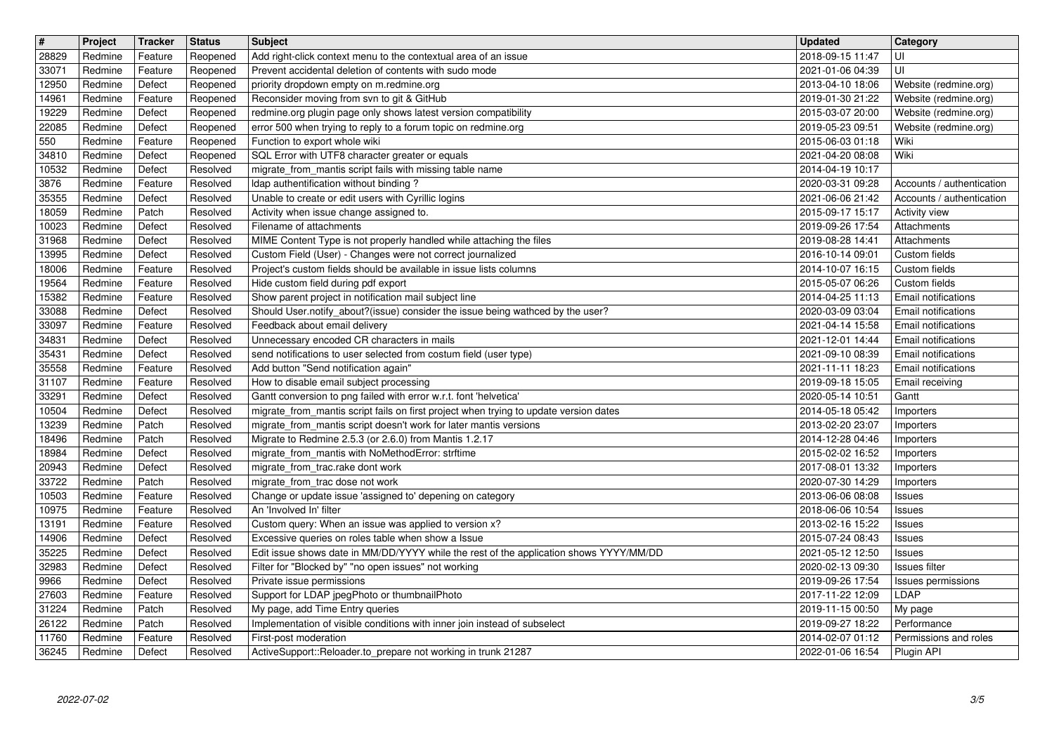| $\boxed{\texttt{#}}$ | Project            | Tracker            | <b>Status</b>        | <b>Subject</b>                                                                                                                                 | <b>Updated</b>                       | Category                                          |
|----------------------|--------------------|--------------------|----------------------|------------------------------------------------------------------------------------------------------------------------------------------------|--------------------------------------|---------------------------------------------------|
| 28829                | Redmine            | Feature            | Reopened             | Add right-click context menu to the contextual area of an issue                                                                                | 2018-09-15 11:47                     | UI                                                |
| 33071<br>12950       | Redmine<br>Redmine | Feature<br>Defect  | Reopened<br>Reopened | Prevent accidental deletion of contents with sudo mode<br>priority dropdown empty on m.redmine.org                                             | 2021-01-06 04:39<br>2013-04-10 18:06 | UI<br>Website (redmine.org)                       |
| 14961                | Redmine            | Feature            | Reopened             | Reconsider moving from svn to git & GitHub                                                                                                     | 2019-01-30 21:22                     | Website (redmine.org)                             |
| 19229                | Redmine            | Defect             | Reopened             | redmine.org plugin page only shows latest version compatibility                                                                                | 2015-03-07 20:00                     | Website (redmine.org)                             |
| 22085                | Redmine            | Defect             | Reopened             | error 500 when trying to reply to a forum topic on redmine.org                                                                                 | 2019-05-23 09:51                     | Website (redmine.org)                             |
| 550<br>34810         | Redmine<br>Redmine | Feature<br>Defect  | Reopened<br>Reopened | Function to export whole wiki<br>SQL Error with UTF8 character greater or equals                                                               | 2015-06-03 01:18<br>2021-04-20 08:08 | Wiki<br>Wiki                                      |
| 10532                | Redmine            | Defect             | Resolved             | migrate_from_mantis script fails with missing table name                                                                                       | 2014-04-19 10:17                     |                                                   |
| 3876                 | Redmine            | Feature            | Resolved             | Idap authentification without binding?                                                                                                         | 2020-03-31 09:28                     | Accounts / authentication                         |
| 35355<br>18059       | Redmine<br>Redmine | Defect<br>Patch    | Resolved<br>Resolved | Unable to create or edit users with Cyrillic logins<br>Activity when issue change assigned to.                                                 | 2021-06-06 21:42<br>2015-09-17 15:17 | Accounts / authentication<br><b>Activity view</b> |
| 10023                | Redmine            | Defect             | Resolved             | Filename of attachments                                                                                                                        | 2019-09-26 17:54                     | Attachments                                       |
| 31968                | Redmine            | Defect             | Resolved             | MIME Content Type is not properly handled while attaching the files                                                                            | 2019-08-28 14:41                     | Attachments                                       |
| 13995<br>18006       | Redmine<br>Redmine | Defect<br>Feature  | Resolved<br>Resolved | Custom Field (User) - Changes were not correct journalized<br>Project's custom fields should be available in issue lists columns               | 2016-10-14 09:01<br>2014-10-07 16:15 | Custom fields<br>Custom fields                    |
| 19564                | Redmine            | Feature            | Resolved             | Hide custom field during pdf export                                                                                                            | 2015-05-07 06:26                     | Custom fields                                     |
| 15382                | Redmine            | Feature            | Resolved             | Show parent project in notification mail subject line                                                                                          | 2014-04-25 11:13                     | <b>Email notifications</b>                        |
| 33088<br>33097       | Redmine<br>Redmine | Defect<br>Feature  | Resolved<br>Resolved | Should User.notify_about?(issue) consider the issue being wathced by the user?<br>Feedback about email delivery                                | 2020-03-09 03:04<br>2021-04-14 15:58 | Email notifications<br>Email notifications        |
| 34831                | Redmine            | Defect             | Resolved             | Unnecessary encoded CR characters in mails                                                                                                     | 2021-12-01 14:44                     | Email notifications                               |
| 35431                | Redmine            | Defect             | Resolved             | send notifications to user selected from costum field (user type)                                                                              | 2021-09-10 08:39                     | Email notifications                               |
| 35558<br>31107       | Redmine<br>Redmine | Feature<br>Feature | Resolved<br>Resolved | Add button "Send notification again"<br>How to disable email subject processing                                                                | 2021-11-11 18:23<br>2019-09-18 15:05 | <b>Email notifications</b><br>Email receiving     |
| 33291                | Redmine            | Defect             | Resolved             | Gantt conversion to png failed with error w.r.t. font 'helvetica'                                                                              | 2020-05-14 10:51                     | Gantt                                             |
| 10504                | Redmine            | Defect             | Resolved             | migrate_from_mantis script fails on first project when trying to update version dates                                                          | 2014-05-18 05:42                     | Importers                                         |
| 13239                | Redmine            | Patch              | Resolved             | migrate_from_mantis script doesn't work for later mantis versions                                                                              | 2013-02-20 23:07                     | Importers                                         |
| 18496<br>18984       | Redmine<br>Redmine | Patch<br>Defect    | Resolved<br>Resolved | Migrate to Redmine 2.5.3 (or 2.6.0) from Mantis 1.2.17<br>migrate_from_mantis with NoMethodError: strftime                                     | 2014-12-28 04:46<br>2015-02-02 16:52 | Importers<br>Importers                            |
| 20943                | Redmine            | Defect             | Resolved             | migrate_from_trac.rake dont work                                                                                                               | 2017-08-01 13:32                     | Importers                                         |
| 33722                | Redmine            | Patch              | Resolved             | migrate_from_trac dose not work                                                                                                                | 2020-07-30 14:29                     | Importers                                         |
| 10503<br>10975       | Redmine<br>Redmine | Feature<br>Feature | Resolved<br>Resolved | Change or update issue 'assigned to' depening on category<br>An 'Involved In' filter                                                           | 2013-06-06 08:08<br>2018-06-06 10:54 | Issues<br>Issues                                  |
| 13191                | Redmine            | Feature            | Resolved             | Custom query: When an issue was applied to version x?                                                                                          | 2013-02-16 15:22                     | Issues                                            |
| 14906                | Redmine            | Defect             | Resolved             | Excessive queries on roles table when show a Issue                                                                                             | 2015-07-24 08:43                     | Issues                                            |
| 35225<br>32983       | Redmine<br>Redmine | Defect<br>Defect   | Resolved<br>Resolved | Edit issue shows date in MM/DD/YYYY while the rest of the application shows YYYY/MM/DD<br>Filter for "Blocked by" "no open issues" not working | 2021-05-12 12:50<br>2020-02-13 09:30 | Issues<br>Issues filter                           |
| 9966                 | Redmine            | Defect             | Resolved             | Private issue permissions                                                                                                                      | 2019-09-26 17:54                     | <b>Issues permissions</b>                         |
| 27603                | Redmine Feature    |                    | Resolved             | Support for LDAP jpegPhoto or thumbnailPhoto                                                                                                   | 2017-11-22 12:09                     | LDAP                                              |
| 31224                | Redmine            | Patch              | Resolved             | My page, add Time Entry queries                                                                                                                | 2019-11-15 00:50                     | My page                                           |
| 26122<br>11760       | Redmine<br>Redmine | Patch<br>Feature   | Resolved<br>Resolved | Implementation of visible conditions with inner join instead of subselect<br>First-post moderation                                             | 2019-09-27 18:22<br>2014-02-07 01:12 | Performance<br>Permissions and roles              |
| 36245                | Redmine            | Defect             | Resolved             | ActiveSupport::Reloader.to_prepare not working in trunk 21287                                                                                  | 2022-01-06 16:54                     | Plugin API                                        |
|                      |                    |                    |                      |                                                                                                                                                |                                      |                                                   |
|                      |                    |                    |                      |                                                                                                                                                |                                      |                                                   |
|                      |                    |                    |                      |                                                                                                                                                |                                      |                                                   |
|                      |                    |                    |                      |                                                                                                                                                |                                      |                                                   |
|                      |                    |                    |                      |                                                                                                                                                |                                      |                                                   |
|                      |                    |                    |                      |                                                                                                                                                |                                      |                                                   |
|                      |                    |                    |                      |                                                                                                                                                |                                      |                                                   |
|                      |                    |                    |                      |                                                                                                                                                |                                      |                                                   |
|                      |                    |                    |                      |                                                                                                                                                |                                      |                                                   |
|                      |                    |                    |                      |                                                                                                                                                |                                      |                                                   |
|                      |                    |                    |                      |                                                                                                                                                |                                      |                                                   |
|                      |                    |                    |                      |                                                                                                                                                |                                      |                                                   |
|                      |                    |                    |                      |                                                                                                                                                |                                      |                                                   |
|                      |                    |                    |                      |                                                                                                                                                |                                      |                                                   |
|                      |                    |                    |                      |                                                                                                                                                |                                      |                                                   |
|                      |                    |                    |                      |                                                                                                                                                |                                      |                                                   |
|                      |                    |                    |                      |                                                                                                                                                |                                      |                                                   |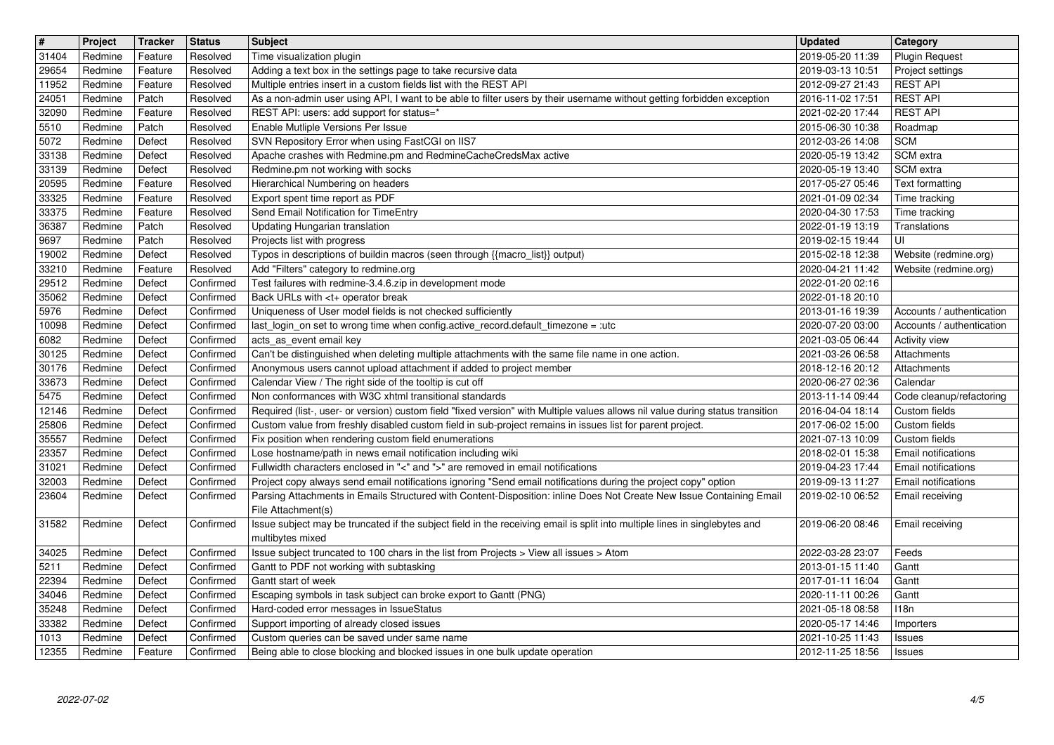| $\boxed{\texttt{#}}$ | Project            | Tracker            | <b>Status</b>          | <b>Subject</b>                                                                                                                                                                                                                          | <b>Updated</b>                       | <b>Category</b>                           |
|----------------------|--------------------|--------------------|------------------------|-----------------------------------------------------------------------------------------------------------------------------------------------------------------------------------------------------------------------------------------|--------------------------------------|-------------------------------------------|
| 31404                | Redmine            | Feature            | Resolved               | Time visualization plugin                                                                                                                                                                                                               | 2019-05-20 11:39                     | <b>Plugin Request</b>                     |
| 29654<br>11952       | Redmine<br>Redmine | Feature<br>Feature | Resolved<br>Resolved   | Adding a text box in the settings page to take recursive data<br>Multiple entries insert in a custom fields list with the REST API                                                                                                      | 2019-03-13 10:51<br>2012-09-27 21:43 | Project settings<br><b>REST API</b>       |
| 24051                | Redmine            | Patch              | Resolved               | As a non-admin user using API, I want to be able to filter users by their username without getting forbidden exception                                                                                                                  | 2016-11-02 17:51                     | <b>REST API</b>                           |
| 32090                | Redmine            | Feature            | Resolved               | REST API: users: add support for status=*                                                                                                                                                                                               | 2021-02-20 17:44                     | <b>REST API</b>                           |
| 5510                 | Redmine            | Patch              | Resolved               | Enable Mutliple Versions Per Issue                                                                                                                                                                                                      | 2015-06-30 10:38                     | Roadmap                                   |
| 5072<br>33138        | Redmine<br>Redmine | Defect<br>Defect   | Resolved<br>Resolved   | SVN Repository Error when using FastCGI on IIS7<br>Apache crashes with Redmine.pm and RedmineCacheCredsMax active                                                                                                                       | 2012-03-26 14:08<br>2020-05-19 13:42 | <b>SCM</b><br>SCM extra                   |
| 33139                | Redmine            | Defect             | Resolved               | Redmine.pm not working with socks                                                                                                                                                                                                       | 2020-05-19 13:40                     | SCM extra                                 |
| 20595                | Redmine            | Feature            | Resolved               | Hierarchical Numbering on headers                                                                                                                                                                                                       | 2017-05-27 05:46                     | Text formatting                           |
| 33325                | Redmine            | Feature            | Resolved               | Export spent time report as PDF                                                                                                                                                                                                         | 2021-01-09 02:34                     | Time tracking                             |
| 33375                | Redmine            | Feature            | Resolved               | Send Email Notification for TimeEntry                                                                                                                                                                                                   | 2020-04-30 17:53                     | Time tracking                             |
| 36387<br>9697        | Redmine<br>Redmine | Patch<br>Patch     | Resolved<br>Resolved   | Updating Hungarian translation<br>Projects list with progress                                                                                                                                                                           | 2022-01-19 13:19<br>2019-02-15 19:44 | Translations<br>luı                       |
| 19002                | Redmine            | Defect             | Resolved               | Typos in descriptions of buildin macros (seen through {{macro_list}} output)                                                                                                                                                            | 2015-02-18 12:38                     | Website (redmine.org)                     |
| 33210                | Redmine            | Feature            | Resolved               | Add "Filters" category to redmine.org                                                                                                                                                                                                   | 2020-04-21 11:42                     | Website (redmine.org)                     |
| 29512                | Redmine            | Defect             | Confirmed              | Test failures with redmine-3.4.6.zip in development mode                                                                                                                                                                                | 2022-01-20 02:16                     |                                           |
| 35062<br>5976        | Redmine<br>Redmine | Defect<br>Defect   | Confirmed<br>Confirmed | Back URLs with <t+ break<br="" operator="">Uniqueness of User model fields is not checked sufficiently</t+>                                                                                                                             | 2022-01-18 20:10<br>2013-01-16 19:39 | Accounts / authentication                 |
| 10098                | Redmine            | Defect             | Confirmed              | last_login_on set to wrong time when config.active_record.default_timezone = :utc                                                                                                                                                       | 2020-07-20 03:00                     | Accounts / authentication                 |
| 6082                 | Redmine            | Defect             | Confirmed              | acts_as_event email key                                                                                                                                                                                                                 | 2021-03-05 06:44                     | Activity view                             |
| 30125                | Redmine            | Defect             | Confirmed              | Can't be distinguished when deleting multiple attachments with the same file name in one action.                                                                                                                                        | 2021-03-26 06:58                     | Attachments                               |
| 30176                | Redmine            | Defect             | Confirmed              | Anonymous users cannot upload attachment if added to project member                                                                                                                                                                     | 2018-12-16 20:12                     | Attachments                               |
| 33673<br>5475        | Redmine<br>Redmine | Defect<br>Defect   | Confirmed<br>Confirmed | Calendar View / The right side of the tooltip is cut off<br>Non conformances with W3C xhtml transitional standards                                                                                                                      | 2020-06-27 02:36<br>2013-11-14 09:44 | Calendar                                  |
| 12146                | Redmine            | Defect             | Confirmed              | Required (list-, user- or version) custom field "fixed version" with Multiple values allows nil value during status transition                                                                                                          | 2016-04-04 18:14                     | Code cleanup/refactoring<br>Custom fields |
| 25806                | Redmine            | Defect             | Confirmed              | Custom value from freshly disabled custom field in sub-project remains in issues list for parent project.                                                                                                                               | 2017-06-02 15:00                     | Custom fields                             |
| 35557                | Redmine            | Defect             | Confirmed              | Fix position when rendering custom field enumerations                                                                                                                                                                                   | 2021-07-13 10:09                     | Custom fields                             |
| 23357                | Redmine            | Defect             | Confirmed              | Lose hostname/path in news email notification including wiki                                                                                                                                                                            | 2018-02-01 15:38                     | Email notifications                       |
| 31021                | Redmine            | Defect             | Confirmed              | Fullwidth characters enclosed in "<" and ">" are removed in email notifications                                                                                                                                                         | 2019-04-23 17:44                     | Email notifications                       |
| 32003<br>23604       | Redmine<br>Redmine | Defect<br>Defect   | Confirmed<br>Confirmed | Project copy always send email notifications ignoring "Send email notifications during the project copy" option<br>Parsing Attachments in Emails Structured with Content-Disposition: inline Does Not Create New Issue Containing Email | 2019-09-13 11:27<br>2019-02-10 06:52 | Email notifications<br>Email receiving    |
|                      |                    |                    |                        | File Attachment(s)                                                                                                                                                                                                                      |                                      |                                           |
| 31582                | Redmine            | Defect             | Confirmed              | Issue subject may be truncated if the subject field in the receiving email is split into multiple lines in singlebytes and                                                                                                              | 2019-06-20 08:46                     | Email receiving                           |
|                      |                    |                    |                        | multibytes mixed                                                                                                                                                                                                                        |                                      |                                           |
| 34025                | Redmine            | Defect             | Confirmed              | Issue subject truncated to 100 chars in the list from Projects > View all issues > Atom                                                                                                                                                 | 2022-03-28 23:07                     | Feeds                                     |
| 5211<br>22394        | Redmine<br>Redmine | Defect<br>Defect   | Confirmed<br>Confirmed | Gantt to PDF not working with subtasking<br>Gantt start of week                                                                                                                                                                         | 2013-01-15 11:40<br>2017-01-11 16:04 | Gantt<br>Gantt                            |
| 34046                | Redmine            | Defect             | Confirmed              | Escaping symbols in task subject can broke export to Gantt (PNG)                                                                                                                                                                        | 2020-11-11 00:26                     | Gantt                                     |
| 35248                | Redmine            | Defect             | Confirmed              | Hard-coded error messages in IssueStatus                                                                                                                                                                                                | 2021-05-18 08:58                     | 118n                                      |
| 33382                | Redmine            | Defect             | Confirmed              | Support importing of already closed issues                                                                                                                                                                                              | 2020-05-17 14:46                     | Importers                                 |
| 1013<br>12355        | Redmine<br>Redmine | Defect<br>Feature  | Confirmed<br>Confirmed | Custom queries can be saved under same name<br>Being able to close blocking and blocked issues in one bulk update operation                                                                                                             | 2021-10-25 11:43<br>2012-11-25 18:56 | Issues<br>Issues                          |
|                      |                    |                    |                        |                                                                                                                                                                                                                                         |                                      |                                           |
|                      |                    |                    |                        |                                                                                                                                                                                                                                         |                                      |                                           |
|                      |                    |                    |                        |                                                                                                                                                                                                                                         |                                      |                                           |
|                      |                    |                    |                        |                                                                                                                                                                                                                                         |                                      |                                           |
|                      |                    |                    |                        |                                                                                                                                                                                                                                         |                                      |                                           |
|                      |                    |                    |                        |                                                                                                                                                                                                                                         |                                      |                                           |
|                      |                    |                    |                        |                                                                                                                                                                                                                                         |                                      |                                           |
|                      |                    |                    |                        |                                                                                                                                                                                                                                         |                                      |                                           |
|                      |                    |                    |                        |                                                                                                                                                                                                                                         |                                      |                                           |
|                      |                    |                    |                        |                                                                                                                                                                                                                                         |                                      |                                           |
|                      |                    |                    |                        |                                                                                                                                                                                                                                         |                                      |                                           |
|                      |                    |                    |                        |                                                                                                                                                                                                                                         |                                      |                                           |
|                      |                    |                    |                        |                                                                                                                                                                                                                                         |                                      |                                           |
|                      |                    |                    |                        |                                                                                                                                                                                                                                         |                                      |                                           |
|                      |                    |                    |                        |                                                                                                                                                                                                                                         |                                      |                                           |
|                      |                    |                    |                        |                                                                                                                                                                                                                                         |                                      |                                           |
|                      |                    |                    |                        |                                                                                                                                                                                                                                         |                                      |                                           |
|                      |                    |                    |                        |                                                                                                                                                                                                                                         |                                      |                                           |
|                      |                    |                    |                        |                                                                                                                                                                                                                                         |                                      |                                           |
|                      |                    |                    |                        |                                                                                                                                                                                                                                         |                                      |                                           |
|                      |                    |                    |                        |                                                                                                                                                                                                                                         |                                      |                                           |
|                      |                    |                    |                        |                                                                                                                                                                                                                                         |                                      |                                           |
|                      |                    |                    |                        |                                                                                                                                                                                                                                         |                                      |                                           |
|                      |                    |                    |                        |                                                                                                                                                                                                                                         |                                      |                                           |
|                      |                    |                    |                        |                                                                                                                                                                                                                                         |                                      |                                           |